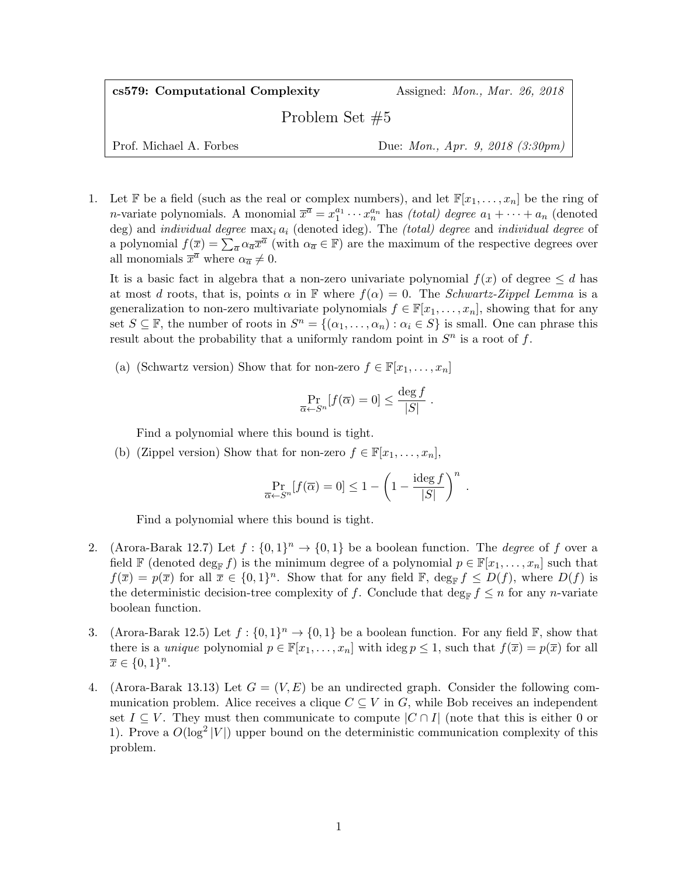cs579: Computational Complexity Assigned: Mon., Mar. 26, 2018 Problem Set #5

Prof. Michael A. Forbes Due: *Mon., Apr. 9, 2018 (3:30pm)* 

1. Let F be a field (such as the real or complex numbers), and let  $\mathbb{F}[x_1, \ldots, x_n]$  be the ring of *n*-variate polynomials. A monomial  $\overline{x}^{\overline{a}} = x_1^{a_1} \cdots x_n^{a_n}$  has *(total) degree*  $a_1 + \cdots + a_n$  (denoted deg) and individual degree  $\max_i a_i$  (denoted ideg). The *(total) degree* and individual degree of a polynomial  $f(\overline{x}) = \sum_{\overline{a}} \alpha_{\overline{a}} \overline{x}^{\overline{a}}$  (with  $\alpha_{\overline{a}} \in \mathbb{F}$ ) are the maximum of the respective degrees over all monomials  $\bar{x}^{\bar{a}}$  where  $\alpha_{\bar{a}} \neq 0$ .

It is a basic fact in algebra that a non-zero univariate polynomial  $f(x)$  of degree  $\leq d$  has at most d roots, that is, points  $\alpha$  in F where  $f(\alpha) = 0$ . The Schwartz-Zippel Lemma is a generalization to non-zero multivariate polynomials  $f \in \mathbb{F}[x_1, \ldots, x_n]$ , showing that for any set  $S \subseteq \mathbb{F}$ , the number of roots in  $S^n = \{(\alpha_1, \ldots, \alpha_n) : \alpha_i \in S\}$  is small. One can phrase this result about the probability that a uniformly random point in  $S<sup>n</sup>$  is a root of f.

(a) (Schwartz version) Show that for non-zero  $f \in \mathbb{F}[x_1, \ldots, x_n]$ 

$$
\Pr_{\overline{\alpha} \leftarrow S^n} [f(\overline{\alpha}) = 0] \le \frac{\deg f}{|S|} .
$$

Find a polynomial where this bound is tight.

(b) (Zippel version) Show that for non-zero  $f \in \mathbb{F}[x_1, \ldots, x_n],$ 

$$
\Pr_{\overline{\alpha} \leftarrow S^n} [f(\overline{\alpha}) = 0] \le 1 - \left(1 - \frac{\text{ideg } f}{|S|}\right)^n.
$$

Find a polynomial where this bound is tight.

- 2. (Arora-Barak 12.7) Let  $f: \{0,1\}^n \to \{0,1\}$  be a boolean function. The *degree* of f over a field F (denoted  $\deg_{\mathbb{F}} f$ ) is the minimum degree of a polynomial  $p \in \mathbb{F}[x_1, \ldots, x_n]$  such that  $f(\overline{x}) = p(\overline{x})$  for all  $\overline{x} \in \{0,1\}^n$ . Show that for any field  $\mathbb{F}$ , deg<sub>F</sub>  $f \leq D(f)$ , where  $D(f)$  is the deterministic decision-tree complexity of f. Conclude that deg<sub>F</sub>  $f \leq n$  for any n-variate boolean function.
- 3. (Arora-Barak 12.5) Let  $f: \{0,1\}^n \to \{0,1\}$  be a boolean function. For any field  $\mathbb{F}$ , show that there is a unique polynomial  $p \in \mathbb{F}[x_1,\ldots,x_n]$  with ideg  $p \leq 1$ , such that  $f(\overline{x}) = p(\overline{x})$  for all  $\overline{x} \in \{0,1\}^n$ .
- 4. (Arora-Barak 13.13) Let  $G = (V, E)$  be an undirected graph. Consider the following communication problem. Alice receives a clique  $C \subseteq V$  in G, while Bob receives an independent set  $I \subseteq V$ . They must then communicate to compute  $|C \cap I|$  (note that this is either 0 or 1). Prove a  $O(\log^2 |V|)$  upper bound on the deterministic communication complexity of this problem.